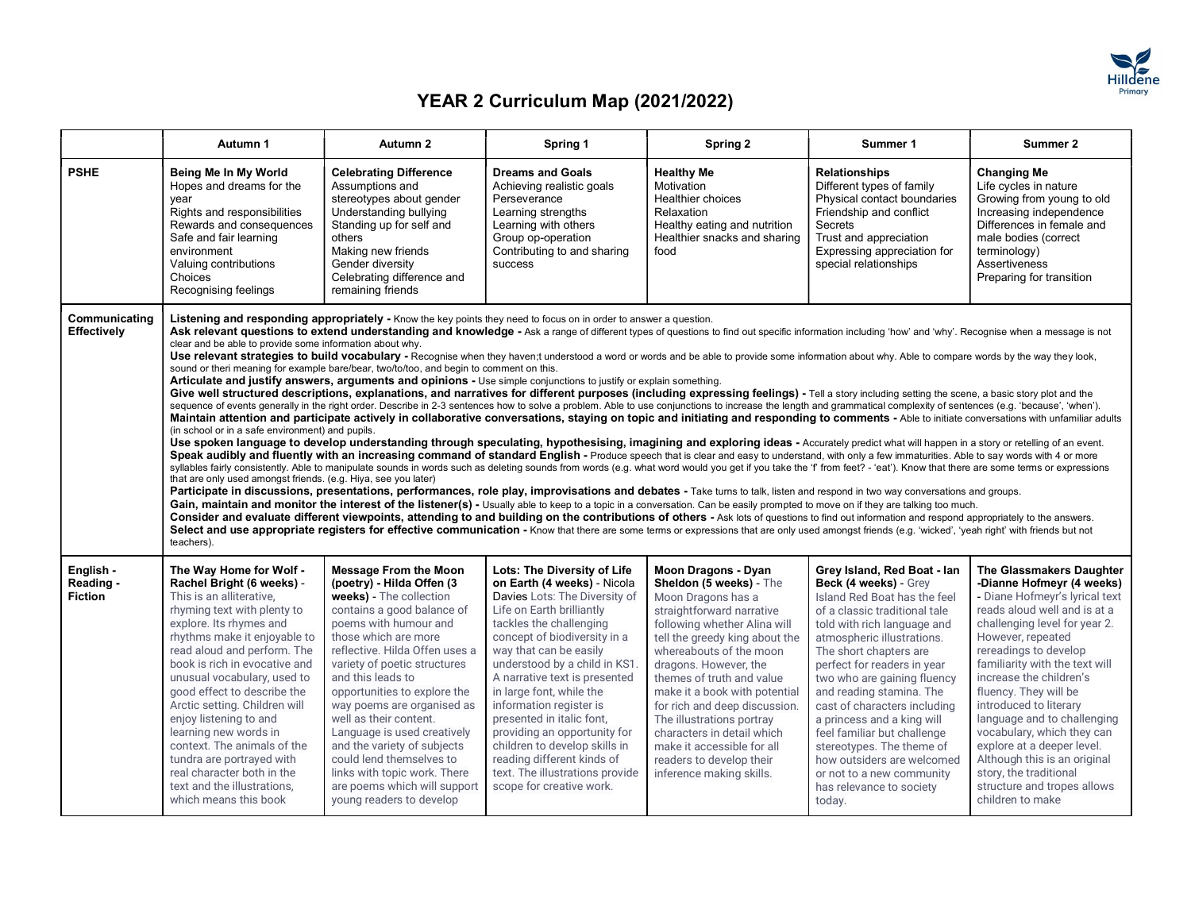

|                                          | Autumn 1                                                                                                                                                                                                                                                                                                                                                                                                                                                                                                                                       | Autumn 2                                                                                                                                                                                                                                                                                                                                                                                                                                                                                                                                                                                                                                                                                                                                                                                                                                                                                                                                                                                                                                                                                                                                                                                                                                                                                                                                                                                                                                                                                                                                                                                                                                                                                                                                                                                                                                                                                                                                                                                                                                                                                                                                                                                                                                                                                                                                                                                                                                                                                                                                                                                                                                                                                                                                                                                | Spring 1                                                                                                                                                                                                                                                                                                                                                                                                                                                                                                                          | Spring 2                                                                                                                                                                                                                                                                                                                                                                                                                                                                | Summer 1                                                                                                                                                                                                                                                                                                                                                                                                                                                                                                                          | Summer 2                                                                                                                                                                                                                                                                                                                                                                                                                                                                                                                       |
|------------------------------------------|------------------------------------------------------------------------------------------------------------------------------------------------------------------------------------------------------------------------------------------------------------------------------------------------------------------------------------------------------------------------------------------------------------------------------------------------------------------------------------------------------------------------------------------------|-----------------------------------------------------------------------------------------------------------------------------------------------------------------------------------------------------------------------------------------------------------------------------------------------------------------------------------------------------------------------------------------------------------------------------------------------------------------------------------------------------------------------------------------------------------------------------------------------------------------------------------------------------------------------------------------------------------------------------------------------------------------------------------------------------------------------------------------------------------------------------------------------------------------------------------------------------------------------------------------------------------------------------------------------------------------------------------------------------------------------------------------------------------------------------------------------------------------------------------------------------------------------------------------------------------------------------------------------------------------------------------------------------------------------------------------------------------------------------------------------------------------------------------------------------------------------------------------------------------------------------------------------------------------------------------------------------------------------------------------------------------------------------------------------------------------------------------------------------------------------------------------------------------------------------------------------------------------------------------------------------------------------------------------------------------------------------------------------------------------------------------------------------------------------------------------------------------------------------------------------------------------------------------------------------------------------------------------------------------------------------------------------------------------------------------------------------------------------------------------------------------------------------------------------------------------------------------------------------------------------------------------------------------------------------------------------------------------------------------------------------------------------------------------|-----------------------------------------------------------------------------------------------------------------------------------------------------------------------------------------------------------------------------------------------------------------------------------------------------------------------------------------------------------------------------------------------------------------------------------------------------------------------------------------------------------------------------------|-------------------------------------------------------------------------------------------------------------------------------------------------------------------------------------------------------------------------------------------------------------------------------------------------------------------------------------------------------------------------------------------------------------------------------------------------------------------------|-----------------------------------------------------------------------------------------------------------------------------------------------------------------------------------------------------------------------------------------------------------------------------------------------------------------------------------------------------------------------------------------------------------------------------------------------------------------------------------------------------------------------------------|--------------------------------------------------------------------------------------------------------------------------------------------------------------------------------------------------------------------------------------------------------------------------------------------------------------------------------------------------------------------------------------------------------------------------------------------------------------------------------------------------------------------------------|
| <b>PSHE</b>                              | Being Me In My World<br>Hopes and dreams for the<br>vear<br>Rights and responsibilities<br>Rewards and consequences<br>Safe and fair learning<br>environment<br>Valuing contributions<br>Choices<br>Recognising feelings                                                                                                                                                                                                                                                                                                                       | <b>Celebrating Difference</b><br>Assumptions and<br>stereotypes about gender<br>Understanding bullying<br>Standing up for self and<br>others<br>Making new friends<br>Gender diversity<br>Celebrating difference and<br>remaining friends                                                                                                                                                                                                                                                                                                                                                                                                                                                                                                                                                                                                                                                                                                                                                                                                                                                                                                                                                                                                                                                                                                                                                                                                                                                                                                                                                                                                                                                                                                                                                                                                                                                                                                                                                                                                                                                                                                                                                                                                                                                                                                                                                                                                                                                                                                                                                                                                                                                                                                                                               | <b>Dreams and Goals</b><br>Achieving realistic goals<br>Perseverance<br>Learning strengths<br>Learning with others<br>Group op-operation<br>Contributing to and sharing<br><b>success</b>                                                                                                                                                                                                                                                                                                                                         | <b>Healthy Me</b><br>Motivation<br>Healthier choices<br>Relaxation<br>Healthy eating and nutrition<br>Healthier snacks and sharing<br>food                                                                                                                                                                                                                                                                                                                              | <b>Relationships</b><br>Different types of family<br>Physical contact boundaries<br>Friendship and conflict<br>Secrets<br>Trust and appreciation<br>Expressing appreciation for<br>special relationships                                                                                                                                                                                                                                                                                                                          | <b>Changing Me</b><br>Life cycles in nature<br>Growing from young to old<br>Increasing independence<br>Differences in female and<br>male bodies (correct<br>terminology)<br>Assertiveness<br>Preparing for transition                                                                                                                                                                                                                                                                                                          |
| Communicating<br>Effectively             | clear and be able to provide some information about why.<br>(in school or in a safe environment) and pupils.<br>that are only used amongst friends. (e.g. Hiya, see you later)<br>teachers).                                                                                                                                                                                                                                                                                                                                                   | Listening and responding appropriately - Know the key points they need to focus on in order to answer a question.<br>Ask relevant questions to extend understanding and knowledge - Ask a range of different types of questions to find out specific information including 'how' and 'why'. Recognise when a message is not<br>Use relevant strategies to build vocabulary - Recognise when they haven;t understood a word or words and be able to provide some information about why. Able to compare words by the way they look,<br>sound or theri meaning for example bare/bear, two/to/too, and begin to comment on this.<br>Articulate and justify answers, arguments and opinions - Use simple conjunctions to justify or explain something.<br>Give well structured descriptions, explanations, and narratives for different purposes (including expressing feelings) - Tell a story including setting the scene, a basic story plot and the<br>sequence of events generally in the right order. Describe in 2-3 sentences how to solve a problem. Able to use conjunctions to increase the length and grammatical complexity of sentences (e.g. 'because', 'when').<br>Maintain attention and participate actively in collaborative conversations, staying on topic and initiating and responding to comments - Able to initiate conversations with unfamiliar adults<br>Use spoken language to develop understanding through speculating, hypothesising, imagining and exploring ideas - Accurately predict what will happen in a story or retelling of an event.<br>Speak audibly and fluently with an increasing command of standard English - Produce speech that is clear and easy to understand, with only a few immaturities. Able to say words with 4 or more<br>syllables fairly consistently. Able to manipulate sounds in words such as deleting sounds from words (e.g. what word would you get if you take the 'f from feet? - 'eat'). Know that there are some terms or expressions<br>Participate in discussions, presentations, performances, role play, improvisations and debates - Take turns to talk, listen and respond in two way conversations and groups.<br>Gain, maintain and monitor the interest of the listener(s) - Usually able to keep to a topic in a conversation. Can be easily prompted to move on if they are talking too much.<br>Consider and evaluate different viewpoints, attending to and building on the contributions of others - Ask lots of questions to find out information and respond appropriately to the answers.<br>Select and use appropriate registers for effective communication - Know that there are some terms or expressions that are only used amongst friends (e.g. 'wicked', 'yeah right' with friends but not |                                                                                                                                                                                                                                                                                                                                                                                                                                                                                                                                   |                                                                                                                                                                                                                                                                                                                                                                                                                                                                         |                                                                                                                                                                                                                                                                                                                                                                                                                                                                                                                                   |                                                                                                                                                                                                                                                                                                                                                                                                                                                                                                                                |
| English -<br>Reading -<br><b>Fiction</b> | The Way Home for Wolf -<br>Rachel Bright (6 weeks) -<br>This is an alliterative,<br>rhyming text with plenty to<br>explore. Its rhymes and<br>rhythms make it enjoyable to<br>read aloud and perform. The<br>book is rich in evocative and<br>unusual vocabulary, used to<br>good effect to describe the<br>Arctic setting. Children will<br>enjoy listening to and<br>learning new words in<br>context. The animals of the<br>tundra are portrayed with<br>real character both in the<br>text and the illustrations,<br>which means this book | <b>Message From the Moon</b><br>(poetry) - Hilda Offen (3)<br>weeks) - The collection<br>contains a good balance of<br>poems with humour and<br>those which are more<br>reflective. Hilda Offen uses a<br>variety of poetic structures<br>and this leads to<br>opportunities to explore the<br>way poems are organised as<br>well as their content.<br>Language is used creatively<br>and the variety of subjects<br>could lend themselves to<br>links with topic work. There<br>are poems which will support<br>young readers to develop                                                                                                                                                                                                                                                                                                                                                                                                                                                                                                                                                                                                                                                                                                                                                                                                                                                                                                                                                                                                                                                                                                                                                                                                                                                                                                                                                                                                                                                                                                                                                                                                                                                                                                                                                                                                                                                                                                                                                                                                                                                                                                                                                                                                                                               | Lots: The Diversity of Life<br>on Earth (4 weeks) - Nicola<br>Davies Lots: The Diversity of<br>Life on Earth brilliantly<br>tackles the challenging<br>concept of biodiversity in a<br>way that can be easily<br>understood by a child in KS1.<br>A narrative text is presented<br>in large font, while the<br>information register is<br>presented in italic font.<br>providing an opportunity for<br>children to develop skills in<br>reading different kinds of<br>text. The illustrations provide<br>scope for creative work. | Moon Dragons - Dyan<br>Sheldon (5 weeks) - The<br>Moon Dragons has a<br>straightforward narrative<br>following whether Alina will<br>tell the greedy king about the<br>whereabouts of the moon<br>dragons. However, the<br>themes of truth and value<br>make it a book with potential<br>for rich and deep discussion.<br>The illustrations portray<br>characters in detail which<br>make it accessible for all<br>readers to develop their<br>inference making skills. | Grey Island, Red Boat - Ian<br>Beck (4 weeks) - Grey<br>Island Red Boat has the feel<br>of a classic traditional tale<br>told with rich language and<br>atmospheric illustrations.<br>The short chapters are<br>perfect for readers in year<br>two who are gaining fluency<br>and reading stamina. The<br>cast of characters including<br>a princess and a king will<br>feel familiar but challenge<br>stereotypes. The theme of<br>how outsiders are welcomed<br>or not to a new community<br>has relevance to society<br>today. | The Glassmakers Daughter<br>-Dianne Hofmeyr (4 weeks)<br>- Diane Hofmeyr's lyrical text<br>reads aloud well and is at a<br>challenging level for year 2.<br>However, repeated<br>rereadings to develop<br>familiarity with the text will<br>increase the children's<br>fluency. They will be<br>introduced to literary<br>language and to challenging<br>vocabulary, which they can<br>explore at a deeper level.<br>Although this is an original<br>story, the traditional<br>structure and tropes allows<br>children to make |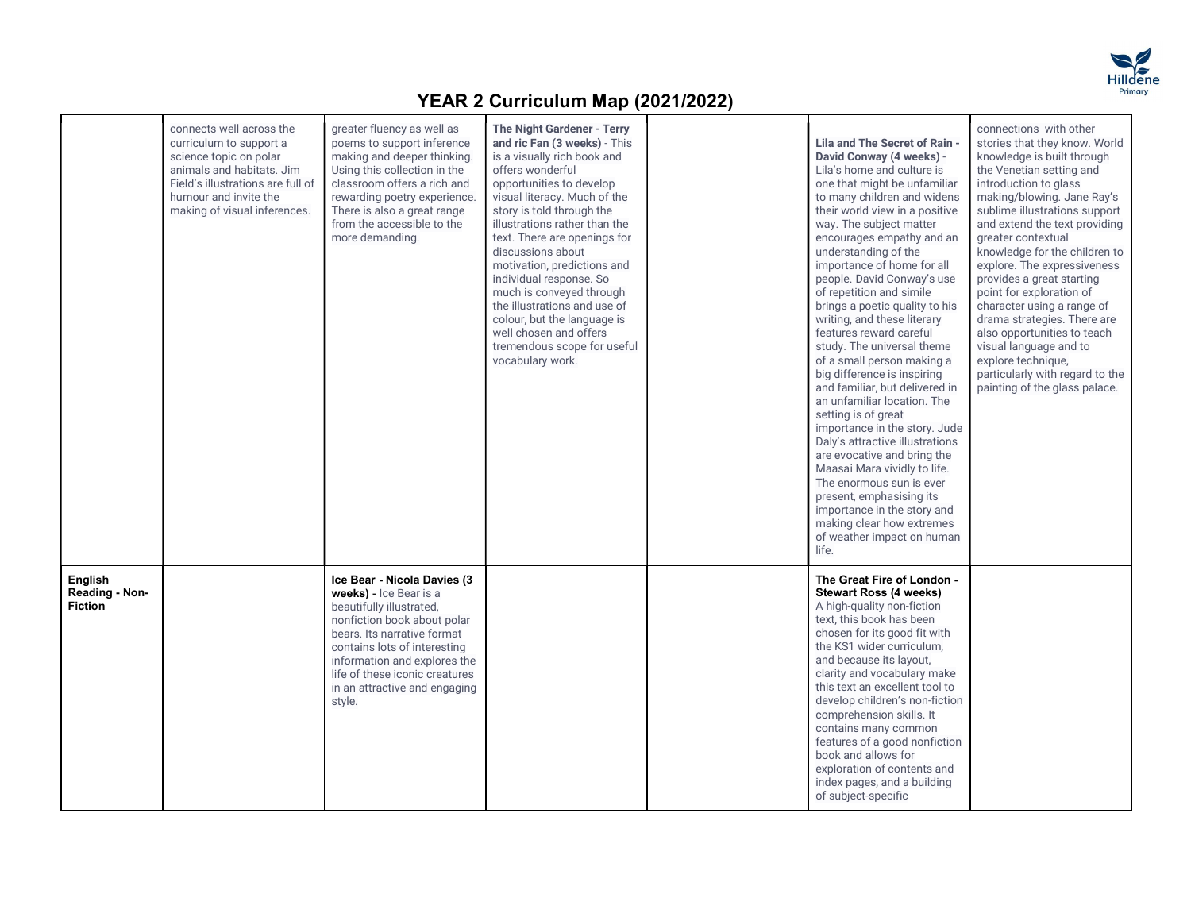

|                                             | connects well across the<br>curriculum to support a<br>science topic on polar<br>animals and habitats. Jim<br>Field's illustrations are full of<br>humour and invite the<br>making of visual inferences. | greater fluency as well as<br>poems to support inference<br>making and deeper thinking.<br>Using this collection in the<br>classroom offers a rich and<br>rewarding poetry experience.<br>There is also a great range<br>from the accessible to the<br>more demanding.                       | The Night Gardener - Terry<br>and ric Fan (3 weeks) - This<br>is a visually rich book and<br>offers wonderful<br>opportunities to develop<br>visual literacy. Much of the<br>story is told through the<br>illustrations rather than the<br>text. There are openings for<br>discussions about<br>motivation, predictions and<br>individual response. So<br>much is conveyed through<br>the illustrations and use of<br>colour, but the language is<br>well chosen and offers<br>tremendous scope for useful<br>vocabulary work. | Lila and The Secret of Rain -<br>David Conway (4 weeks) -<br>Lila's home and culture is<br>one that might be unfamiliar<br>to many children and widens<br>their world view in a positive<br>way. The subject matter<br>encourages empathy and an<br>understanding of the<br>importance of home for all<br>people. David Conway's use<br>of repetition and simile<br>brings a poetic quality to his<br>writing, and these literary<br>features reward careful<br>study. The universal theme<br>of a small person making a<br>big difference is inspiring<br>and familiar, but delivered in<br>an unfamiliar location. The<br>setting is of great<br>importance in the story. Jude<br>Daly's attractive illustrations<br>are evocative and bring the<br>Maasai Mara vividly to life.<br>The enormous sun is ever<br>present, emphasising its<br>importance in the story and<br>making clear how extremes<br>of weather impact on human<br>life. | connections with other<br>stories that they know. World<br>knowledge is built through<br>the Venetian setting and<br>introduction to glass<br>making/blowing. Jane Ray's<br>sublime illustrations support<br>and extend the text providing<br>greater contextual<br>knowledge for the children to<br>explore. The expressiveness<br>provides a great starting<br>point for exploration of<br>character using a range of<br>drama strategies. There are<br>also opportunities to teach<br>visual language and to<br>explore technique,<br>particularly with regard to the<br>painting of the glass palace. |  |
|---------------------------------------------|----------------------------------------------------------------------------------------------------------------------------------------------------------------------------------------------------------|----------------------------------------------------------------------------------------------------------------------------------------------------------------------------------------------------------------------------------------------------------------------------------------------|--------------------------------------------------------------------------------------------------------------------------------------------------------------------------------------------------------------------------------------------------------------------------------------------------------------------------------------------------------------------------------------------------------------------------------------------------------------------------------------------------------------------------------|-----------------------------------------------------------------------------------------------------------------------------------------------------------------------------------------------------------------------------------------------------------------------------------------------------------------------------------------------------------------------------------------------------------------------------------------------------------------------------------------------------------------------------------------------------------------------------------------------------------------------------------------------------------------------------------------------------------------------------------------------------------------------------------------------------------------------------------------------------------------------------------------------------------------------------------------------|-----------------------------------------------------------------------------------------------------------------------------------------------------------------------------------------------------------------------------------------------------------------------------------------------------------------------------------------------------------------------------------------------------------------------------------------------------------------------------------------------------------------------------------------------------------------------------------------------------------|--|
| English<br>Reading - Non-<br><b>Fiction</b> |                                                                                                                                                                                                          | Ice Bear - Nicola Davies (3<br>weeks) - Ice Bear is a<br>beautifully illustrated,<br>nonfiction book about polar<br>bears. Its narrative format<br>contains lots of interesting<br>information and explores the<br>life of these iconic creatures<br>in an attractive and engaging<br>style. |                                                                                                                                                                                                                                                                                                                                                                                                                                                                                                                                | The Great Fire of London -<br><b>Stewart Ross (4 weeks)</b><br>A high-quality non-fiction<br>text, this book has been<br>chosen for its good fit with<br>the KS1 wider curriculum,<br>and because its layout,<br>clarity and vocabulary make<br>this text an excellent tool to<br>develop children's non-fiction<br>comprehension skills. It<br>contains many common<br>features of a good nonfiction<br>book and allows for<br>exploration of contents and<br>index pages, and a building<br>of subject-specific                                                                                                                                                                                                                                                                                                                                                                                                                             |                                                                                                                                                                                                                                                                                                                                                                                                                                                                                                                                                                                                           |  |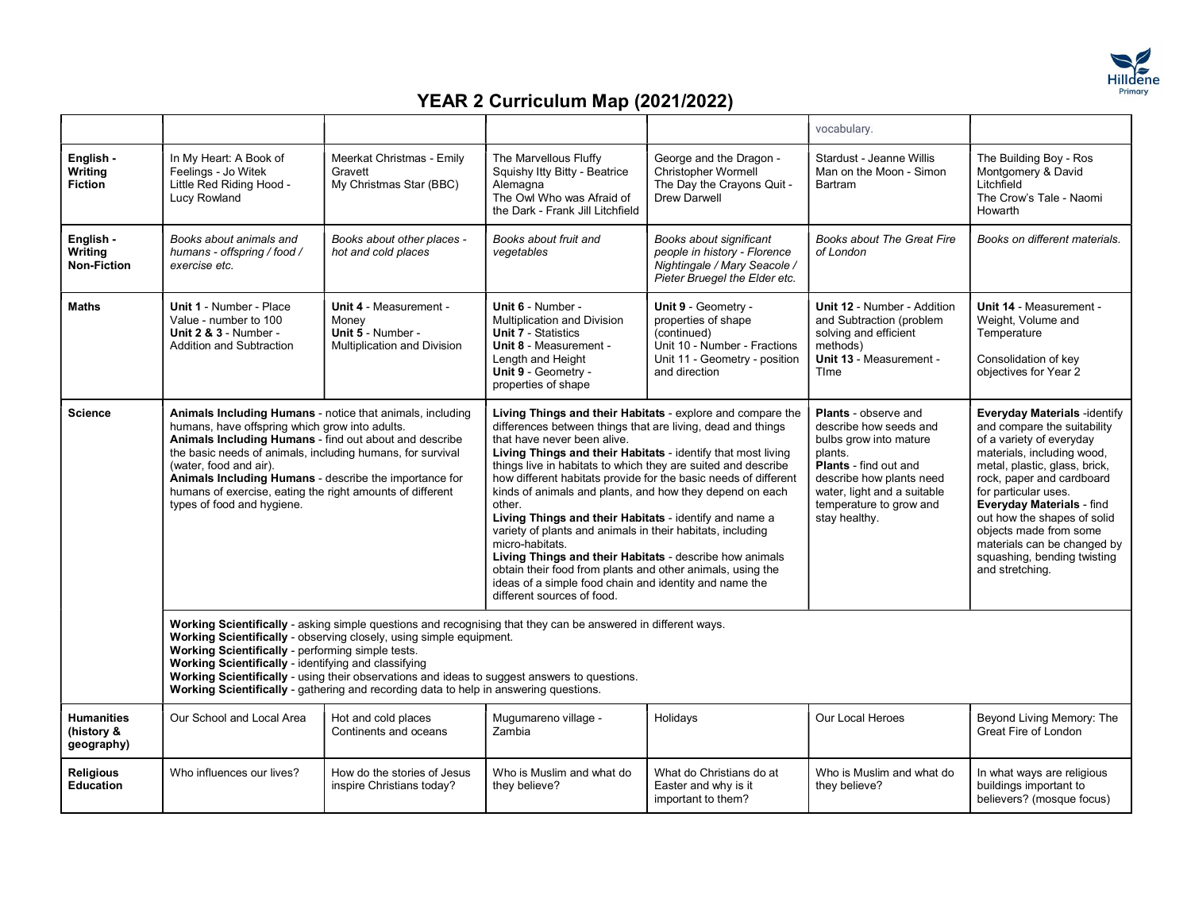

|                                               |                                                                                                                                                                                                                                                                                                                                                                                                                                                                                            |                                                                                            |                                                                                                                                                                                                                                                                                                                                                                                                                                                                                                                                                                                                                                                                                                                                                                                                |                                                                                                                                             | vocabulary.                                                                                                                                                                                                                       |                                                                                                                                                                                                                                                                                                                                                                                            |  |  |
|-----------------------------------------------|--------------------------------------------------------------------------------------------------------------------------------------------------------------------------------------------------------------------------------------------------------------------------------------------------------------------------------------------------------------------------------------------------------------------------------------------------------------------------------------------|--------------------------------------------------------------------------------------------|------------------------------------------------------------------------------------------------------------------------------------------------------------------------------------------------------------------------------------------------------------------------------------------------------------------------------------------------------------------------------------------------------------------------------------------------------------------------------------------------------------------------------------------------------------------------------------------------------------------------------------------------------------------------------------------------------------------------------------------------------------------------------------------------|---------------------------------------------------------------------------------------------------------------------------------------------|-----------------------------------------------------------------------------------------------------------------------------------------------------------------------------------------------------------------------------------|--------------------------------------------------------------------------------------------------------------------------------------------------------------------------------------------------------------------------------------------------------------------------------------------------------------------------------------------------------------------------------------------|--|--|
| English -<br>Writing<br><b>Fiction</b>        | In My Heart: A Book of<br>Feelings - Jo Witek<br>Little Red Riding Hood -<br>Lucy Rowland                                                                                                                                                                                                                                                                                                                                                                                                  | Meerkat Christmas - Emily<br>Gravett<br>My Christmas Star (BBC)                            | The Marvellous Fluffy<br>Squishy Itty Bitty - Beatrice<br>Alemagna<br>The Owl Who was Afraid of<br>the Dark - Frank Jill Litchfield                                                                                                                                                                                                                                                                                                                                                                                                                                                                                                                                                                                                                                                            | George and the Dragon -<br><b>Christopher Wormell</b><br>The Day the Crayons Quit -<br><b>Drew Darwell</b>                                  | Stardust - Jeanne Willis<br>Man on the Moon - Simon<br>Bartram                                                                                                                                                                    | The Building Boy - Ros<br>Montgomery & David<br>Litchfield<br>The Crow's Tale - Naomi<br>Howarth                                                                                                                                                                                                                                                                                           |  |  |
| English -<br>Writing<br>Non-Fiction           | Books about animals and<br>humans - offspring / food /<br>exercise etc.                                                                                                                                                                                                                                                                                                                                                                                                                    | Books about other places -<br>hot and cold places                                          | Books about fruit and<br>vegetables                                                                                                                                                                                                                                                                                                                                                                                                                                                                                                                                                                                                                                                                                                                                                            | Books about significant<br>people in history - Florence<br>Nightingale / Mary Seacole /<br>Pieter Bruegel the Elder etc.                    | <b>Books about The Great Fire</b><br>of London                                                                                                                                                                                    | Books on different materials.                                                                                                                                                                                                                                                                                                                                                              |  |  |
| <b>Maths</b>                                  | <b>Unit 1 - Number - Place</b><br>Value - number to 100<br><b>Unit 2 &amp; 3 - Number -</b><br><b>Addition and Subtraction</b>                                                                                                                                                                                                                                                                                                                                                             | <b>Unit 4 - Measurement -</b><br>Money<br>Unit 5 - Number -<br>Multiplication and Division | Unit 6 - Number -<br><b>Multiplication and Division</b><br><b>Unit 7 - Statistics</b><br><b>Unit 8 - Measurement -</b><br>Length and Height<br>Unit 9 - Geometry -<br>properties of shape                                                                                                                                                                                                                                                                                                                                                                                                                                                                                                                                                                                                      | Unit 9 - Geometry -<br>properties of shape<br>(continued)<br>Unit 10 - Number - Fractions<br>Unit 11 - Geometry - position<br>and direction | <b>Unit 12 - Number - Addition</b><br>and Subtraction (problem<br>solving and efficient<br>methods)<br>Unit 13 - Measurement -<br>Time                                                                                            | Unit 14 - Measurement -<br>Weight, Volume and<br>Temperature<br>Consolidation of key<br>objectives for Year 2                                                                                                                                                                                                                                                                              |  |  |
| <b>Science</b>                                | Animals Including Humans - notice that animals, including<br>humans, have offspring which grow into adults.<br>Animals Including Humans - find out about and describe<br>the basic needs of animals, including humans, for survival<br>(water, food and air).<br>Animals Including Humans - describe the importance for<br>humans of exercise, eating the right amounts of different<br>types of food and hygiene.                                                                         |                                                                                            | Living Things and their Habitats - explore and compare the<br>differences between things that are living, dead and things<br>that have never been alive.<br>Living Things and their Habitats - identify that most living<br>things live in habitats to which they are suited and describe<br>how different habitats provide for the basic needs of different<br>kinds of animals and plants, and how they depend on each<br>other.<br>Living Things and their Habitats - identify and name a<br>variety of plants and animals in their habitats, including<br>micro-habitats.<br>Living Things and their Habitats - describe how animals<br>obtain their food from plants and other animals, using the<br>ideas of a simple food chain and identity and name the<br>different sources of food. |                                                                                                                                             | <b>Plants</b> - observe and<br>describe how seeds and<br>bulbs grow into mature<br>plants.<br><b>Plants</b> - find out and<br>describe how plants need<br>water, light and a suitable<br>temperature to grow and<br>stay healthy. | Everyday Materials - identify<br>and compare the suitability<br>of a variety of everyday<br>materials, including wood,<br>metal, plastic, glass, brick,<br>rock, paper and cardboard<br>for particular uses.<br><b>Everyday Materials - find</b><br>out how the shapes of solid<br>objects made from some<br>materials can be changed by<br>squashing, bending twisting<br>and stretching. |  |  |
|                                               | Working Scientifically - asking simple questions and recognising that they can be answered in different ways.<br>Working Scientifically - observing closely, using simple equipment.<br>Working Scientifically - performing simple tests.<br>Working Scientifically - identifying and classifying<br>Working Scientifically - using their observations and ideas to suggest answers to questions.<br>Working Scientifically - gathering and recording data to help in answering questions. |                                                                                            |                                                                                                                                                                                                                                                                                                                                                                                                                                                                                                                                                                                                                                                                                                                                                                                                |                                                                                                                                             |                                                                                                                                                                                                                                   |                                                                                                                                                                                                                                                                                                                                                                                            |  |  |
| <b>Humanities</b><br>(history &<br>geography) | Our School and Local Area                                                                                                                                                                                                                                                                                                                                                                                                                                                                  | Hot and cold places<br>Continents and oceans                                               | Mugumareno village -<br>Zambia                                                                                                                                                                                                                                                                                                                                                                                                                                                                                                                                                                                                                                                                                                                                                                 | Holidays                                                                                                                                    | Our Local Heroes                                                                                                                                                                                                                  | Beyond Living Memory: The<br>Great Fire of London                                                                                                                                                                                                                                                                                                                                          |  |  |
| <b>Religious</b><br><b>Education</b>          | Who influences our lives?                                                                                                                                                                                                                                                                                                                                                                                                                                                                  | How do the stories of Jesus<br>inspire Christians today?                                   | Who is Muslim and what do<br>they believe?                                                                                                                                                                                                                                                                                                                                                                                                                                                                                                                                                                                                                                                                                                                                                     | What do Christians do at<br>Easter and why is it<br>important to them?                                                                      | Who is Muslim and what do<br>they believe?                                                                                                                                                                                        | In what ways are religious<br>buildings important to<br>believers? (mosque focus)                                                                                                                                                                                                                                                                                                          |  |  |
|                                               |                                                                                                                                                                                                                                                                                                                                                                                                                                                                                            |                                                                                            |                                                                                                                                                                                                                                                                                                                                                                                                                                                                                                                                                                                                                                                                                                                                                                                                |                                                                                                                                             |                                                                                                                                                                                                                                   |                                                                                                                                                                                                                                                                                                                                                                                            |  |  |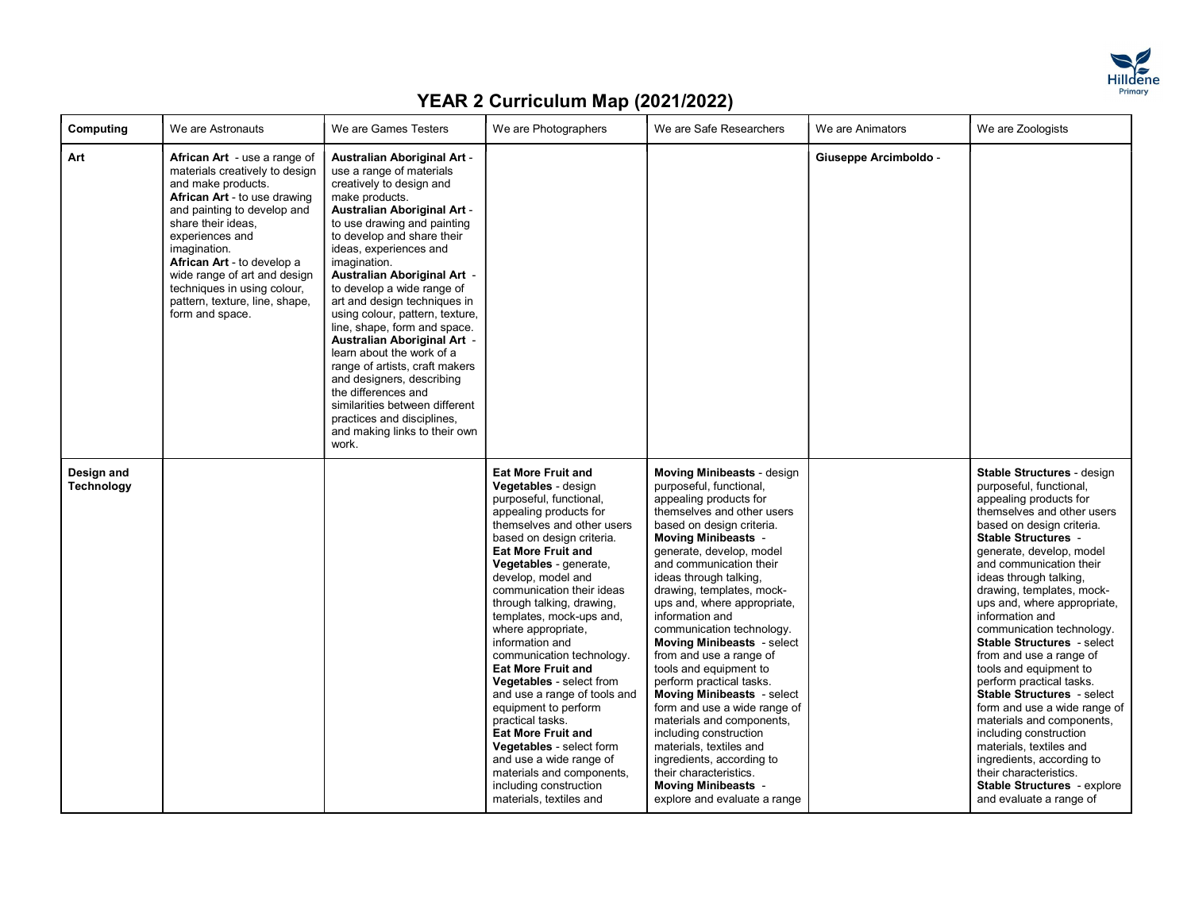

| Computing                | We are Astronauts                                                                                                                                                                                                                                                                                                                                                     | We are Games Testers                                                                                                                                                                                                                                                                                                                                                                                                                                                                                                                                                                                                                                                                  | We are Photographers                                                                                                                                                                                                                                                                                                                                                                                                                                                                                                                                                                                                                                                                                                        | We are Safe Researchers                                                                                                                                                                                                                                                                                                                                                                                                                                                                                                                                                                                                                                                                                                                                                        | We are Animators      | We are Zoologists                                                                                                                                                                                                                                                                                                                                                                                                                                                                                                                                                                                                                                                                                                                                            |
|--------------------------|-----------------------------------------------------------------------------------------------------------------------------------------------------------------------------------------------------------------------------------------------------------------------------------------------------------------------------------------------------------------------|---------------------------------------------------------------------------------------------------------------------------------------------------------------------------------------------------------------------------------------------------------------------------------------------------------------------------------------------------------------------------------------------------------------------------------------------------------------------------------------------------------------------------------------------------------------------------------------------------------------------------------------------------------------------------------------|-----------------------------------------------------------------------------------------------------------------------------------------------------------------------------------------------------------------------------------------------------------------------------------------------------------------------------------------------------------------------------------------------------------------------------------------------------------------------------------------------------------------------------------------------------------------------------------------------------------------------------------------------------------------------------------------------------------------------------|--------------------------------------------------------------------------------------------------------------------------------------------------------------------------------------------------------------------------------------------------------------------------------------------------------------------------------------------------------------------------------------------------------------------------------------------------------------------------------------------------------------------------------------------------------------------------------------------------------------------------------------------------------------------------------------------------------------------------------------------------------------------------------|-----------------------|--------------------------------------------------------------------------------------------------------------------------------------------------------------------------------------------------------------------------------------------------------------------------------------------------------------------------------------------------------------------------------------------------------------------------------------------------------------------------------------------------------------------------------------------------------------------------------------------------------------------------------------------------------------------------------------------------------------------------------------------------------------|
| Art                      | African Art - use a range of<br>materials creatively to design<br>and make products.<br>African Art - to use drawing<br>and painting to develop and<br>share their ideas,<br>experiences and<br>imagination.<br><b>African Art</b> - to develop a<br>wide range of art and design<br>techniques in using colour,<br>pattern, texture, line, shape,<br>form and space. | <b>Australian Aboriginal Art -</b><br>use a range of materials<br>creatively to design and<br>make products.<br><b>Australian Aboriginal Art -</b><br>to use drawing and painting<br>to develop and share their<br>ideas, experiences and<br>imagination.<br>Australian Aboriginal Art -<br>to develop a wide range of<br>art and design techniques in<br>using colour, pattern, texture,<br>line, shape, form and space.<br>Australian Aboriginal Art -<br>learn about the work of a<br>range of artists, craft makers<br>and designers, describing<br>the differences and<br>similarities between different<br>practices and disciplines,<br>and making links to their own<br>work. |                                                                                                                                                                                                                                                                                                                                                                                                                                                                                                                                                                                                                                                                                                                             |                                                                                                                                                                                                                                                                                                                                                                                                                                                                                                                                                                                                                                                                                                                                                                                | Giuseppe Arcimboldo - |                                                                                                                                                                                                                                                                                                                                                                                                                                                                                                                                                                                                                                                                                                                                                              |
| Design and<br>Technology |                                                                                                                                                                                                                                                                                                                                                                       |                                                                                                                                                                                                                                                                                                                                                                                                                                                                                                                                                                                                                                                                                       | <b>Eat More Fruit and</b><br>Vegetables - design<br>purposeful, functional,<br>appealing products for<br>themselves and other users<br>based on design criteria.<br><b>Eat More Fruit and</b><br>Vegetables - generate,<br>develop, model and<br>communication their ideas<br>through talking, drawing,<br>templates, mock-ups and,<br>where appropriate,<br>information and<br>communication technology.<br><b>Eat More Fruit and</b><br><b>Vegetables</b> - select from<br>and use a range of tools and<br>equipment to perform<br>practical tasks.<br><b>Eat More Fruit and</b><br>Vegetables - select form<br>and use a wide range of<br>materials and components,<br>including construction<br>materials, textiles and | <b>Moving Minibeasts - design</b><br>purposeful, functional,<br>appealing products for<br>themselves and other users<br>based on design criteria.<br><b>Moving Minibeasts -</b><br>generate, develop, model<br>and communication their<br>ideas through talking,<br>drawing, templates, mock-<br>ups and, where appropriate,<br>information and<br>communication technology.<br><b>Moving Minibeasts</b> - select<br>from and use a range of<br>tools and equipment to<br>perform practical tasks.<br><b>Moving Minibeasts</b> - select<br>form and use a wide range of<br>materials and components,<br>including construction<br>materials, textiles and<br>ingredients, according to<br>their characteristics.<br><b>Moving Minibeasts -</b><br>explore and evaluate a range |                       | Stable Structures - design<br>purposeful, functional,<br>appealing products for<br>themselves and other users<br>based on design criteria.<br><b>Stable Structures -</b><br>generate, develop, model<br>and communication their<br>ideas through talking,<br>drawing, templates, mock-<br>ups and, where appropriate,<br>information and<br>communication technology.<br>Stable Structures - select<br>from and use a range of<br>tools and equipment to<br>perform practical tasks.<br><b>Stable Structures - select</b><br>form and use a wide range of<br>materials and components,<br>including construction<br>materials, textiles and<br>ingredients, according to<br>their characteristics.<br>Stable Structures - explore<br>and evaluate a range of |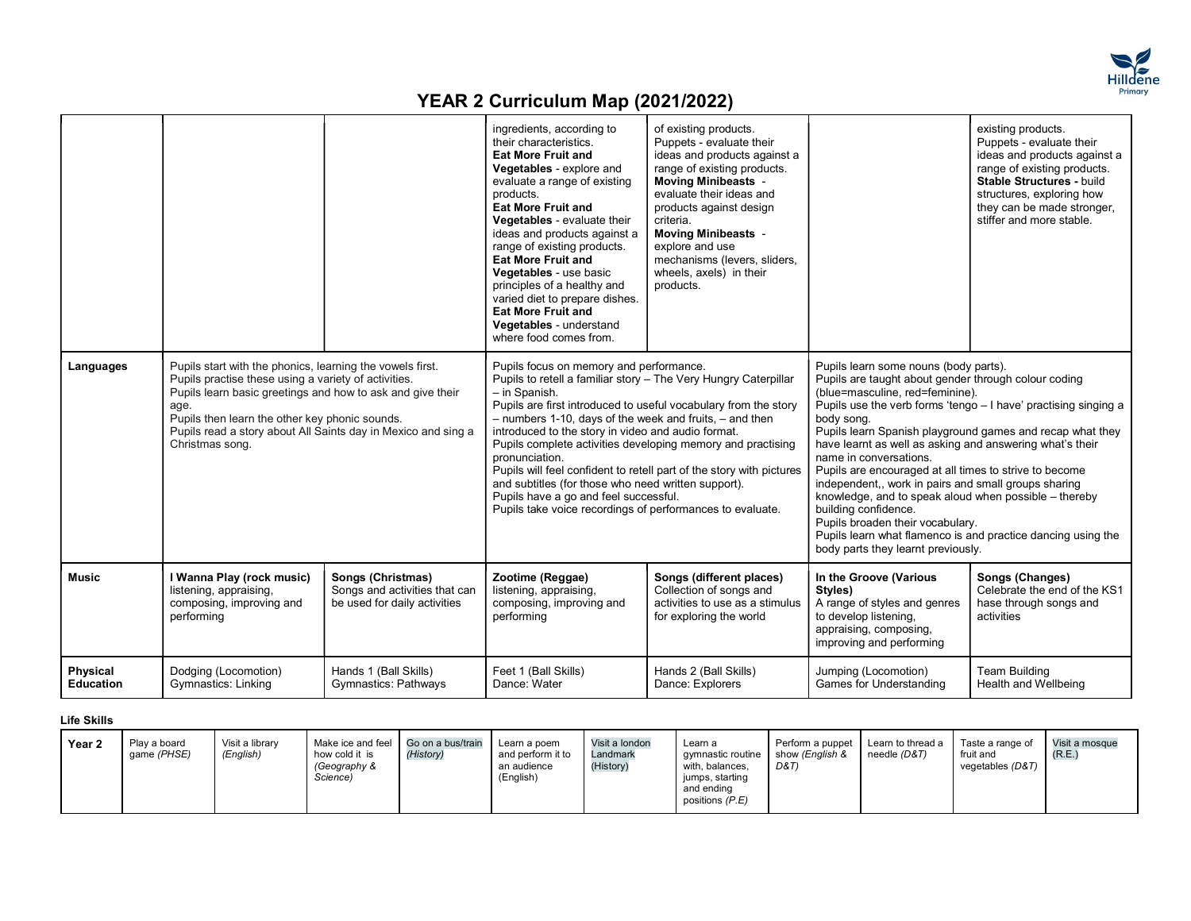

|                              |                                                                                                                                                                                                                                                                                                                               |                                                                                    | ingredients, according to<br>their characteristics.<br><b>Eat More Fruit and</b><br>Vegetables - explore and<br>evaluate a range of existing<br>products.<br><b>Eat More Fruit and</b><br>Vegetables - evaluate their<br>ideas and products against a<br>range of existing products.<br>Eat More Fruit and<br>Vegetables - use basic<br>principles of a healthy and<br>varied diet to prepare dishes.<br><b>Eat More Fruit and</b><br>Vegetables - understand<br>where food comes from.                                                                       | of existing products.<br>Puppets - evaluate their<br>ideas and products against a<br>range of existing products.<br><b>Moving Minibeasts -</b><br>evaluate their ideas and<br>products against design<br>criteria.<br><b>Moving Minibeasts -</b><br>explore and use<br>mechanisms (levers, sliders,<br>wheels, axels) in their<br>products. |                                                                                                                                                                                                                                                                                                                                                                                                                                                                                                                                                                                                                                                | existing products.<br>Puppets - evaluate their<br>ideas and products against a<br>range of existing products.<br>Stable Structures - build<br>structures, exploring how<br>they can be made stronger,<br>stiffer and more stable. |
|------------------------------|-------------------------------------------------------------------------------------------------------------------------------------------------------------------------------------------------------------------------------------------------------------------------------------------------------------------------------|------------------------------------------------------------------------------------|---------------------------------------------------------------------------------------------------------------------------------------------------------------------------------------------------------------------------------------------------------------------------------------------------------------------------------------------------------------------------------------------------------------------------------------------------------------------------------------------------------------------------------------------------------------|---------------------------------------------------------------------------------------------------------------------------------------------------------------------------------------------------------------------------------------------------------------------------------------------------------------------------------------------|------------------------------------------------------------------------------------------------------------------------------------------------------------------------------------------------------------------------------------------------------------------------------------------------------------------------------------------------------------------------------------------------------------------------------------------------------------------------------------------------------------------------------------------------------------------------------------------------------------------------------------------------|-----------------------------------------------------------------------------------------------------------------------------------------------------------------------------------------------------------------------------------|
| Languages                    | Pupils start with the phonics, learning the vowels first.<br>Pupils practise these using a variety of activities.<br>Pupils learn basic greetings and how to ask and give their<br>age.<br>Pupils then learn the other key phonic sounds.<br>Pupils read a story about All Saints day in Mexico and sing a<br>Christmas song. |                                                                                    | Pupils focus on memory and performance.<br>Pupils to retell a familiar story - The Very Hungry Caterpillar<br>- in Spanish.<br>Pupils are first introduced to useful vocabulary from the story<br>- numbers 1-10, days of the week and fruits, - and then<br>introduced to the story in video and audio format.<br>Pupils complete activities developing memory and practising<br>pronunciation.<br>and subtitles (for those who need written support).<br>Pupils have a go and feel successful.<br>Pupils take voice recordings of performances to evaluate. | Pupils will feel confident to retell part of the story with pictures                                                                                                                                                                                                                                                                        | Pupils learn some nouns (body parts).<br>Pupils are taught about gender through colour coding<br>(blue=masculine, red=feminine).<br>body song.<br>Pupils learn Spanish playground games and recap what they<br>have learnt as well as asking and answering what's their<br>name in conversations.<br>Pupils are encouraged at all times to strive to become<br>independent,, work in pairs and small groups sharing<br>knowledge, and to speak aloud when possible - thereby<br>building confidence.<br>Pupils broaden their vocabulary.<br>Pupils learn what flamenco is and practice dancing using the<br>body parts they learnt previously. | Pupils use the verb forms 'tengo - I have' practising singing a                                                                                                                                                                   |
| <b>Music</b>                 | I Wanna Play (rock music)<br>listening, appraising,<br>composing, improving and<br>performing                                                                                                                                                                                                                                 | Songs (Christmas)<br>Songs and activities that can<br>be used for daily activities | Zootime (Reggae)<br>listening, appraising,<br>composing, improving and<br>performing                                                                                                                                                                                                                                                                                                                                                                                                                                                                          | Songs (different places)<br>Collection of songs and<br>activities to use as a stimulus<br>for exploring the world                                                                                                                                                                                                                           | In the Groove (Various<br>Styles)<br>A range of styles and genres<br>to develop listening,<br>appraising, composing,<br>improving and performing                                                                                                                                                                                                                                                                                                                                                                                                                                                                                               | Songs (Changes)<br>Celebrate the end of the KS1<br>hase through songs and<br>activities                                                                                                                                           |
| <b>Physical</b><br>Education | Dodging (Locomotion)<br><b>Gymnastics: Linking</b>                                                                                                                                                                                                                                                                            | Hands 1 (Ball Skills)<br><b>Gymnastics: Pathways</b>                               | Feet 1 (Ball Skills)<br>Dance: Water                                                                                                                                                                                                                                                                                                                                                                                                                                                                                                                          | Hands 2 (Ball Skills)<br>Dance: Explorers                                                                                                                                                                                                                                                                                                   | Jumping (Locomotion)<br><b>Games for Understanding</b>                                                                                                                                                                                                                                                                                                                                                                                                                                                                                                                                                                                         | <b>Team Building</b><br>Health and Wellbeing                                                                                                                                                                                      |

Life Skills

| Visit a mosque |
|----------------|
|----------------|